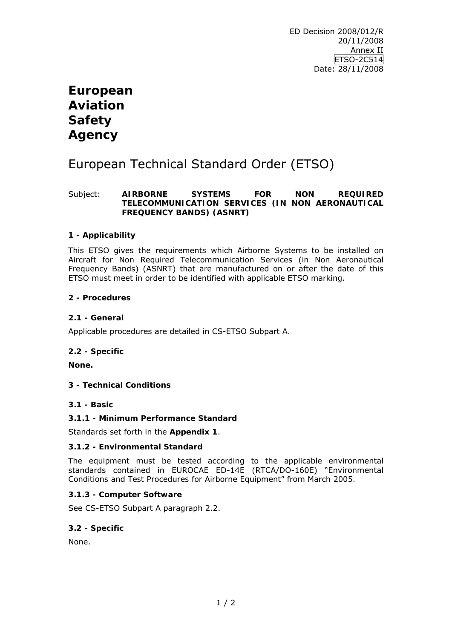# **European Aviation Safety Agency**

# European Technical Standard Order (ETSO)

# Subject: **AIRBORNE SYSTEMS FOR NON REQUIRED TELECOMMUNICATION SERVICES (IN NON AERONAUTICAL FREQUENCY BANDS) (ASNRT)**

# **1 - Applicability**

This ETSO gives the requirements which Airborne Systems to be installed on Aircraft for Non Required Telecommunication Services (in Non Aeronautical Frequency Bands) (ASNRT) that are manufactured on or after the date of this ETSO must meet in order to be identified with applicable ETSO marking.

# **2 - Procedures**

# **2.1 - General**

Applicable procedures are detailed in CS-ETSO Subpart A.

# **2.2 - Specific**

**None.** 

# **3 - Technical Conditions**

# **3.1 - Basic**

# **3.1.1 - Minimum Performance Standard**

Standards set forth in the **Appendix 1**.

# **3.1.2 - Environmental Standard**

The equipment must be tested according to the applicable environmental standards contained in EUROCAE ED-14E (RTCA/DO-160E) "*Environmental Conditions and Test Procedures for Airborne Equipment"* from March 2005.

# **3.1.3 - Computer Software**

See CS-ETSO Subpart A paragraph 2.2.

# **3.2 - Specific**

None.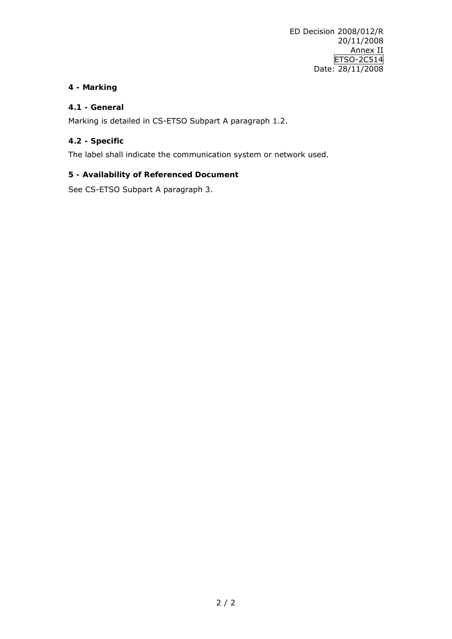# **4 - Marking**

# **4.1 - General**

Marking is detailed in CS-ETSO Subpart A paragraph 1.2.

# **4.2 - Specific**

The label shall indicate the communication system or network used.

# **5 - Availability of Referenced Document**

See CS-ETSO Subpart A paragraph 3.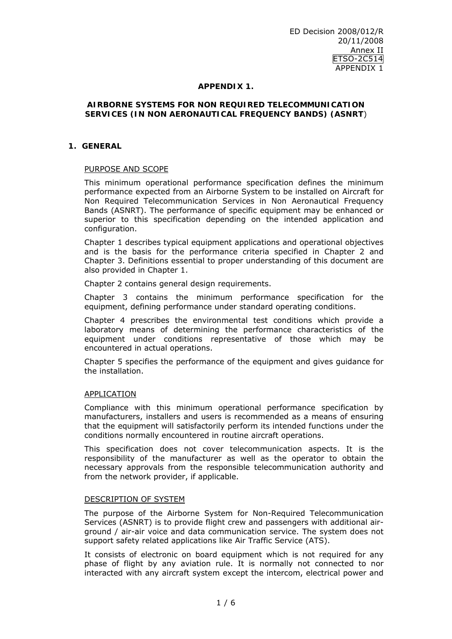## **APPENDIX 1.**

#### **AIRBORNE SYSTEMS FOR NON REQUIRED TELECOMMUNICATION SERVICES (IN NON AERONAUTICAL FREQUENCY BANDS) (ASNRT**)

# **1. GENERAL**

## PURPOSE AND SCOPE

This minimum operational performance specification defines the minimum performance expected from an Airborne System to be installed on Aircraft for Non Required Telecommunication Services in Non Aeronautical Frequency Bands (ASNRT). The performance of specific equipment may be enhanced or superior to this specification depending on the intended application and configuration.

Chapter 1 describes typical equipment applications and operational objectives and is the basis for the performance criteria specified in Chapter 2 and Chapter 3. Definitions essential to proper understanding of this document are also provided in Chapter 1.

Chapter 2 contains general design requirements.

Chapter 3 contains the minimum performance specification for the equipment, defining performance under standard operating conditions.

Chapter 4 prescribes the environmental test conditions which provide a laboratory means of determining the performance characteristics of the equipment under conditions representative of those which may be encountered in actual operations.

Chapter 5 specifies the performance of the equipment and gives guidance for the installation.

#### APPLICATION

Compliance with this minimum operational performance specification by manufacturers, installers and users is recommended as a means of ensuring that the equipment will satisfactorily perform its intended functions under the conditions normally encountered in routine aircraft operations.

This specification does not cover telecommunication aspects. It is the responsibility of the manufacturer as well as the operator to obtain the necessary approvals from the responsible telecommunication authority and from the network provider, if applicable.

# DESCRIPTION OF SYSTEM

The purpose of the Airborne System for Non-Required Telecommunication Services (ASNRT) is to provide flight crew and passengers with additional airground / air-air voice and data communication service. The system does not support safety related applications like Air Traffic Service (ATS).

It consists of electronic on board equipment which is not required for any phase of flight by any aviation rule. It is normally not connected to nor interacted with any aircraft system except the intercom, electrical power and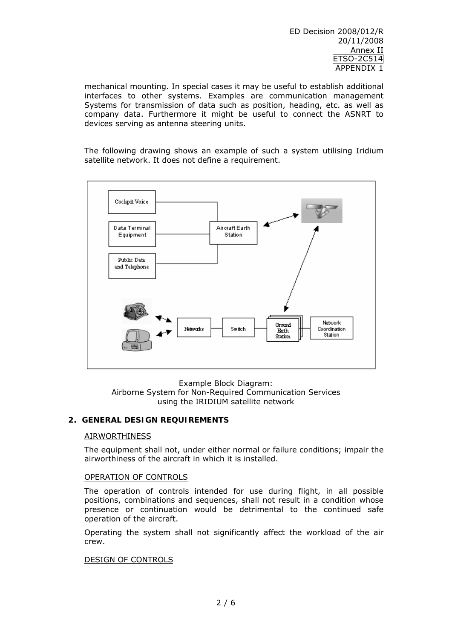ED Decision 2008/012/R 20/11/2008 Annex II ETSO-2C514 APPENDIX 1

mechanical mounting. In special cases it may be useful to establish additional interfaces to other systems. Examples are communication management Systems for transmission of data such as position, heading, etc. as well as company data. Furthermore it might be useful to connect the ASNRT to devices serving as antenna steering units.

The following drawing shows an example of such a system utilising Iridium satellite network. It does not define a requirement.



Example Block Diagram: Airborne System for Non-Required Communication Services using the IRIDIUM satellite network

# **2. GENERAL DESIGN REQUIREMENTS**

#### AIRWORTHINESS

The equipment shall not, under either normal or failure conditions; impair the airworthiness of the aircraft in which it is installed.

#### OPERATION OF CONTROLS

The operation of controls intended for use during flight, in all possible positions, combinations and sequences, shall not result in a condition whose presence or continuation would be detrimental to the continued safe operation of the aircraft.

Operating the system shall not significantly affect the workload of the air crew.

#### DESIGN OF CONTROLS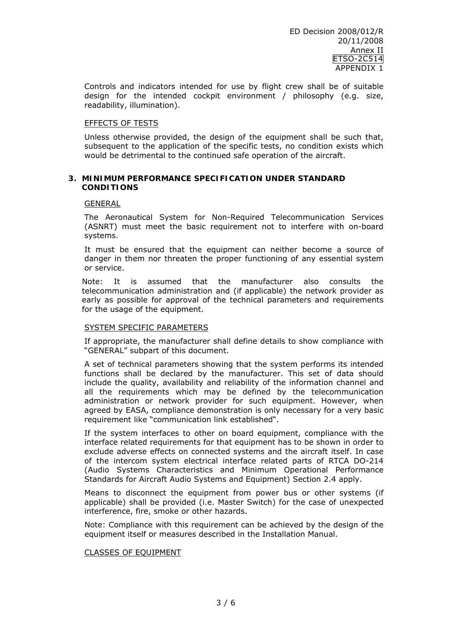Controls and indicators intended for use by flight crew shall be of suitable design for the intended cockpit environment / philosophy (e.g. size, readability, illumination).

## EFFECTS OF TESTS

Unless otherwise provided, the design of the equipment shall be such that, subsequent to the application of the specific tests, no condition exists which would be detrimental to the continued safe operation of the aircraft.

## **3. MINIMUM PERFORMANCE SPECIFICATION UNDER STANDARD CONDITIONS**

## GENERAL

The Aeronautical System for Non-Required Telecommunication Services (ASNRT) must meet the basic requirement not to interfere with on-board systems.

It must be ensured that the equipment can neither become a source of danger in them nor threaten the proper functioning of any essential system or service.

Note: It is assumed that the manufacturer also consults the telecommunication administration and (if applicable) the network provider as early as possible for approval of the technical parameters and requirements for the usage of the equipment.

# SYSTEM SPECIFIC PARAMETERS

If appropriate, the manufacturer shall define details to show compliance with "GENERAL" subpart of this document.

A set of technical parameters showing that the system performs its intended functions shall be declared by the manufacturer. This set of data should include the quality, availability and reliability of the information channel and all the requirements which may be defined by the telecommunication administration or network provider for such equipment. However, when agreed by EASA, compliance demonstration is only necessary for a very basic requirement like "communication link established".

If the system interfaces to other on board equipment, compliance with the interface related requirements for that equipment has to be shown in order to exclude adverse effects on connected systems and the aircraft itself. In case of the intercom system electrical interface related parts of RTCA DO-214 (Audio Systems Characteristics and Minimum Operational Performance Standards for Aircraft Audio Systems and Equipment) Section 2.4 apply.

Means to disconnect the equipment from power bus or other systems (if applicable) shall be provided (i.e. Master Switch) for the case of unexpected interference, fire, smoke or other hazards.

Note: Compliance with this requirement can be achieved by the design of the equipment itself or measures described in the Installation Manual.

# CLASSES OF EQUIPMENT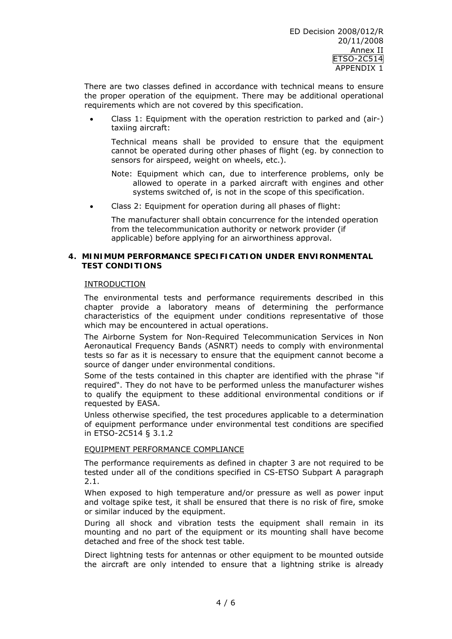There are two classes defined in accordance with technical means to ensure the proper operation of the equipment. There may be additional operational requirements which are not covered by this specification.

• Class 1: Equipment with the operation restriction to parked and (air-) taxiing aircraft:

 Technical means shall be provided to ensure that the equipment cannot be operated during other phases of flight (eg. by connection to sensors for airspeed, weight on wheels, etc.).

*Note*: Equipment which can, due to interference problems, only be allowed to operate in a parked aircraft with engines and other systems switched of, is not in the scope of this specification.

• Class 2: Equipment for operation during all phases of flight:

 The manufacturer shall obtain concurrence for the intended operation from the telecommunication authority or network provider (if applicable) before applying for an airworthiness approval.

## **4. MINIMUM PERFORMANCE SPECIFICATION UNDER ENVIRONMENTAL TEST CONDITIONS**

## INTRODUCTION

The environmental tests and performance requirements described in this chapter provide a laboratory means of determining the performance characteristics of the equipment under conditions representative of those which may be encountered in actual operations.

The Airborne System for Non-Required Telecommunication Services in Non Aeronautical Frequency Bands (ASNRT) needs to comply with environmental tests so far as it is necessary to ensure that the equipment cannot become a source of danger under environmental conditions.

Some of the tests contained in this chapter are identified with the phrase "if required". They do not have to be performed unless the manufacturer wishes to qualify the equipment to these additional environmental conditions or if requested by EASA.

Unless otherwise specified, the test procedures applicable to a determination of equipment performance under environmental test conditions are specified in ETSO-2C514 § 3.1.2

# EQUIPMENT PERFORMANCE COMPLIANCE

The performance requirements as defined in chapter 3 are not required to be tested under all of the conditions specified in CS-ETSO Subpart A paragraph 2.1.

When exposed to high temperature and/or pressure as well as power input and voltage spike test, it shall be ensured that there is no risk of fire, smoke or similar induced by the equipment.

During all shock and vibration tests the equipment shall remain in its mounting and no part of the equipment or its mounting shall have become detached and free of the shock test table.

Direct lightning tests for antennas or other equipment to be mounted outside the aircraft are only intended to ensure that a lightning strike is already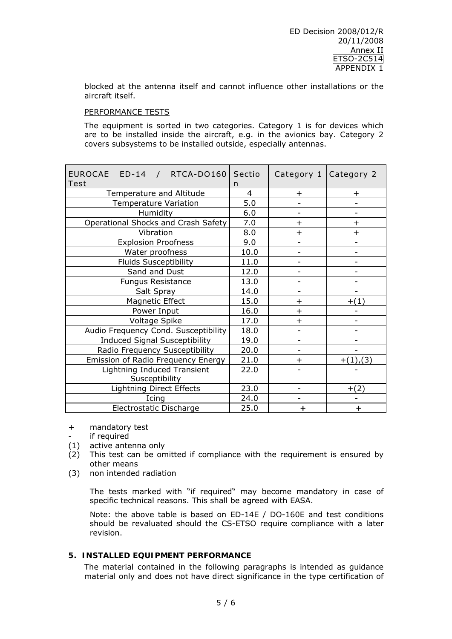blocked at the antenna itself and cannot influence other installations or the aircraft itself.

# PERFORMANCE TESTS

The equipment is sorted in two categories. Category 1 is for devices which are to be installed inside the aircraft, e.g. in the avionics bay. Category 2 covers subsystems to be installed outside, especially antennas.

| EUROCAE ED-14 / RTCA-DO160<br>Test   | Sectio<br>n    | Category 1 Category 2        |              |
|--------------------------------------|----------------|------------------------------|--------------|
| Temperature and Altitude             | $\overline{4}$ | $+$                          | $\pm$        |
| <b>Temperature Variation</b>         | 5.0            |                              |              |
| Humidity                             | 6.0            | $\qquad \qquad \blacksquare$ |              |
| Operational Shocks and Crash Safety  | 7.0            | $\overline{+}$               | $\ddot{}$    |
| Vibration                            | 8.0            | $\ddot{}$                    | $\ddot{}$    |
| <b>Explosion Proofness</b>           | 9.0            | $\qquad \qquad -$            |              |
| Water proofness                      | 10.0           | $\qquad \qquad -$            |              |
| <b>Fluids Susceptibility</b>         | 11.0           |                              |              |
| Sand and Dust                        | 12.0           |                              |              |
| <b>Fungus Resistance</b>             | 13.0           |                              |              |
| Salt Spray                           | 14.0           |                              |              |
| Magnetic Effect                      | 15.0           | $\pm$                        | $+(1)$       |
| Power Input                          | 16.0           | $+$                          |              |
| Voltage Spike                        | 17.0           | $+$                          |              |
| Audio Frequency Cond. Susceptibility | 18.0           |                              |              |
| <b>Induced Signal Susceptibility</b> | 19.0           | $\overline{\phantom{0}}$     |              |
| Radio Frequency Susceptibility       | 20.0           | $\qquad \qquad -$            |              |
| Emission of Radio Frequency Energy   | 21.0           | $\ddot{}$                    | $+(1)$ , (3) |
| Lightning Induced Transient          | 22.0           |                              |              |
| Susceptibility                       |                |                              |              |
| <b>Lightning Direct Effects</b>      | 23.0           |                              | $+(2)$       |
| Icing                                | 24.0           |                              |              |
| Electrostatic Discharge              | 25.0           | ÷                            | $\ddot{}$    |

- + mandatory test
- if required
- (1) active antenna only
- (2) This test can be omitted if compliance with the requirement is ensured by other means
- (3) non intended radiation

The tests marked with "if required" may become mandatory in case of specific technical reasons. This shall be agreed with EASA.

Note: the above table is based on ED-14E / DO-160E and test conditions should be revaluated should the CS-ETSO require compliance with a later revision.

# **5. INSTALLED EQUIPMENT PERFORMANCE**

The material contained in the following paragraphs is intended as guidance material only and does not have direct significance in the type certification of